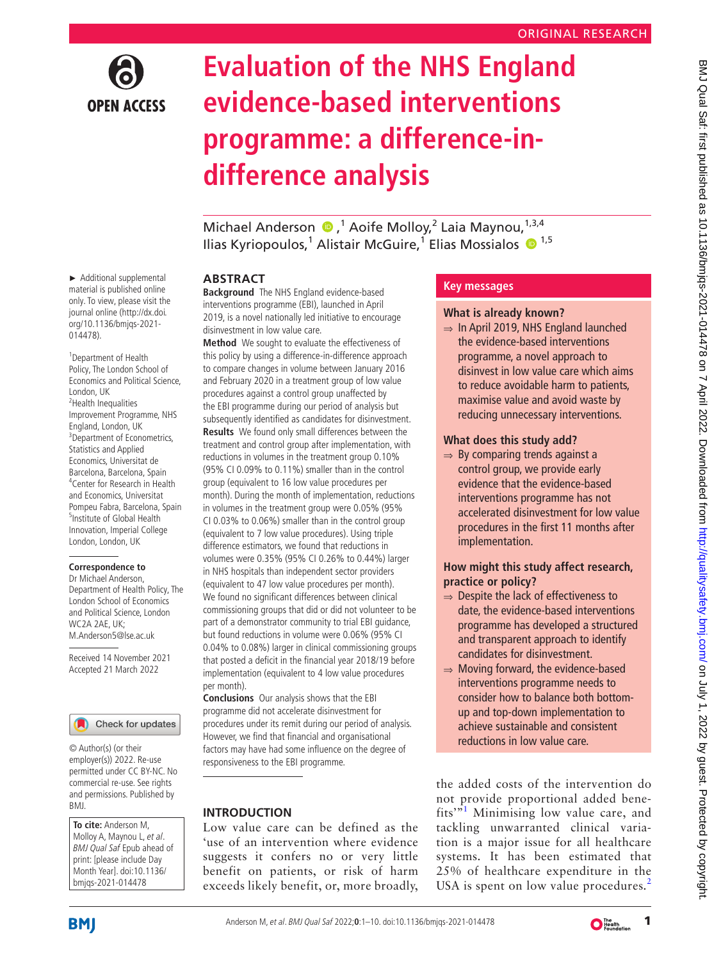

# **Evaluation of the NHS England evidence-based interventions programme: a difference-indifference analysis**

Michael Anderson D,<sup>1</sup> Aoife Molloy,<sup>2</sup> Laia Maynou,<sup>1,3,4</sup> Ilias Kyriopoulos,<sup>1</sup> Alistair McGuire,<sup>1</sup> Elias Mossialos <sup>® 1,5</sup>

## **ABSTRACT**

**Background** The NHS England evidence-based interventions programme (EBI), launched in April 2019, is a novel nationally led initiative to encourage disinvestment in low value care.

**Method** We sought to evaluate the effectiveness of this policy by using a difference-in-difference approach to compare changes in volume between January 2016 and February 2020 in a treatment group of low value procedures against a control group unaffected by the EBI programme during our period of analysis but subsequently identified as candidates for disinvestment. **Results** We found only small differences between the treatment and control group after implementation, with reductions in volumes in the treatment group 0.10% (95% CI 0.09% to 0.11%) smaller than in the control group (equivalent to 16 low value procedures per month). During the month of implementation, reductions in volumes in the treatment group were 0.05% (95% CI 0.03% to 0.06%) smaller than in the control group (equivalent to 7 low value procedures). Using triple difference estimators, we found that reductions in volumes were 0.35% (95% CI 0.26% to 0.44%) larger in NHS hospitals than independent sector providers (equivalent to 47 low value procedures per month). We found no significant differences between clinical commissioning groups that did or did not volunteer to be part of a demonstrator community to trial EBI guidance, but found reductions in volume were 0.06% (95% CI 0.04% to 0.08%) larger in clinical commissioning groups that posted a deficit in the financial year 2018/19 before implementation (equivalent to 4 low value procedures per month).

**Conclusions** Our analysis shows that the EBI programme did not accelerate disinvestment for procedures under its remit during our period of analysis. However, we find that financial and organisational factors may have had some influence on the degree of responsiveness to the EBI programme.

## **INTRODUCTION**

Low value care can be defined as the 'use of an intervention where evidence suggests it confers no or very little benefit on patients, or risk of harm exceeds likely benefit, or, more broadly,

## **Key messages**

#### **What is already known?**

⇒ In April 2019, NHS England launched the evidence-based interventions programme, a novel approach to disinvest in low value care which aims to reduce avoidable harm to patients, maximise value and avoid waste by reducing unnecessary interventions.

#### **What does this study add?**

 $\Rightarrow$  By comparing trends against a control group, we provide early evidence that the evidence-based interventions programme has not accelerated disinvestment for low value procedures in the first 11 months after implementation.

BMJ Qual Saf: first published as 10.1136/bmjqs-2021-014478 on 7 April 2022. Downloaded from http://qualitysafety.bmj.com/ on July 1, 2022 by guest. Protected by copyright BMJ Qual Sat: first published as 10.1136/bmjqs-2021-014478 on 7 April 2022. Downloaded from <http://qualitysafety.bmj.com/> on July 1, 2022 by guest. Protected by copyright.

## **How might this study affect research, practice or policy?**

- ⇒ Despite the lack of effectiveness to date, the evidence-based interventions programme has developed a structured and transparent approach to identify candidates for disinvestment.
- ⇒ Moving forward, the evidence-based interventions programme needs to consider how to balance both bottomup and top-down implementation to achieve sustainable and consistent reductions in low value care.

the added costs of the intervention do not provide proportional added bene-fits'<sup>3[1](#page-8-0)</sup> Minimising low value care, and tackling unwarranted clinical variation is a major issue for all healthcare systems. It has been estimated that 25% of healthcare expenditure in the USA is spent on low value procedures.<sup>[2](#page-8-1)</sup>

► Additional supplemental material is published online only. To view, please visit the journal online ([http://dx.doi.](http://dx.doi.org/10.1136/bmjqs-2021-014478) [org/10.1136/bmjqs-2021-](http://dx.doi.org/10.1136/bmjqs-2021-014478) [014478](http://dx.doi.org/10.1136/bmjqs-2021-014478)).

1 Department of Health Policy, The London School of Economics and Political Science, London, UK <sup>2</sup>Health Inequalities Improvement Programme, NHS England, London, UK <sup>3</sup>Department of Econometrics, Statistics and Applied Economics, Universitat de Barcelona, Barcelona, Spain 4 Center for Research in Health and Economics, Universitat Pompeu Fabra, Barcelona, Spain <sup>5</sup>Institute of Global Health Innovation, Imperial College London, London, UK

#### **Correspondence to**

Dr Michael Anderson, Department of Health Policy, The London School of Economics and Political Science, London WC2A 2AE, UK; M.Anderson5@lse.ac.uk

Received 14 November 2021 Accepted 21 March 2022



© Author(s) (or their employer(s)) 2022. Re-use permitted under CC BY-NC. No commercial re-use. See rights and permissions. Published by BMJ.

**To cite:** Anderson M, Molloy A, Maynou L, et al. BMJ Qual Saf Epub ahead of print: [please include Day Month Year]. doi:10.1136/ bmjqs-2021-014478

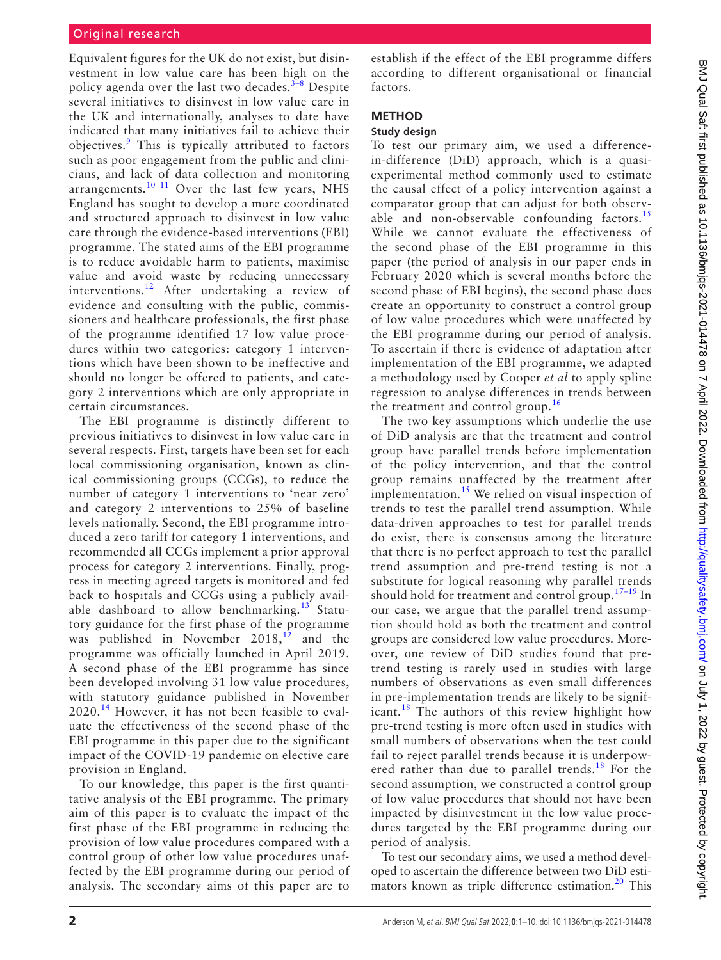## Original research

Equivalent figures for the UK do not exist, but disinvestment in low value care has been high on the policy agenda over the last two decades. $3-8$  Despite several initiatives to disinvest in low value care in the UK and internationally, analyses to date have indicated that many initiatives fail to achieve their objectives.<sup>[9](#page-8-3)</sup> This is typically attributed to factors such as poor engagement from the public and clinicians, and lack of data collection and monitoring arrangements.<sup>10 11</sup> Over the last few years, NHS England has sought to develop a more coordinated and structured approach to disinvest in low value care through the evidence-based interventions (EBI) programme. The stated aims of the EBI programme is to reduce avoidable harm to patients, maximise value and avoid waste by reducing unnecessary interventions.<sup>[12](#page-8-5)</sup> After undertaking a review of evidence and consulting with the public, commissioners and healthcare professionals, the first phase of the programme identified 17 low value procedures within two categories: category 1 interventions which have been shown to be ineffective and should no longer be offered to patients, and category 2 interventions which are only appropriate in certain circumstances.

The EBI programme is distinctly different to previous initiatives to disinvest in low value care in several respects. First, targets have been set for each local commissioning organisation, known as clinical commissioning groups (CCGs), to reduce the number of category 1 interventions to 'near zero' and category 2 interventions to 25% of baseline levels nationally. Second, the EBI programme introduced a zero tariff for category 1 interventions, and recommended all CCGs implement a prior approval process for category 2 interventions. Finally, progress in meeting agreed targets is monitored and fed back to hospitals and CCGs using a publicly avail-able dashboard to allow benchmarking.<sup>[13](#page-8-6)</sup> Statutory guidance for the first phase of the programme was published in November  $2018$ ,<sup>[12](#page-8-5)</sup> and the programme was officially launched in April 2019. A second phase of the EBI programme has since been developed involving 31 low value procedures, with statutory guidance published in November  $2020<sup>14</sup>$  $2020<sup>14</sup>$  $2020<sup>14</sup>$  However, it has not been feasible to evaluate the effectiveness of the second phase of the EBI programme in this paper due to the significant impact of the COVID-19 pandemic on elective care provision in England.

To our knowledge, this paper is the first quantitative analysis of the EBI programme. The primary aim of this paper is to evaluate the impact of the first phase of the EBI programme in reducing the provision of low value procedures compared with a control group of other low value procedures unaffected by the EBI programme during our period of analysis. The secondary aims of this paper are to establish if the effect of the EBI programme differs according to different organisational or financial factors.

## **METHOD**

## **Study design**

To test our primary aim, we used a differencein-difference (DiD) approach, which is a quasiexperimental method commonly used to estimate the causal effect of a policy intervention against a comparator group that can adjust for both observ-able and non-observable confounding factors.<sup>[15](#page-8-8)</sup> While we cannot evaluate the effectiveness of the second phase of the EBI programme in this paper (the period of analysis in our paper ends in February 2020 which is several months before the second phase of EBI begins), the second phase does create an opportunity to construct a control group of low value procedures which were unaffected by the EBI programme during our period of analysis. To ascertain if there is evidence of adaptation after implementation of the EBI programme, we adapted a methodology used by Cooper *et al* to apply spline regression to analyse differences in trends between the treatment and control group.<sup>[16](#page-8-9)</sup>

The two key assumptions which underlie the use of DiD analysis are that the treatment and control group have parallel trends before implementation of the policy intervention, and that the control group remains unaffected by the treatment after implementation.<sup>15</sup> We relied on visual inspection of trends to test the parallel trend assumption. While data-driven approaches to test for parallel trends do exist, there is consensus among the literature that there is no perfect approach to test the parallel trend assumption and pre-trend testing is not a substitute for logical reasoning why parallel trends should hold for treatment and control group.<sup>17–19</sup> In our case, we argue that the parallel trend assumption should hold as both the treatment and control groups are considered low value procedures. Moreover, one review of DiD studies found that pretrend testing is rarely used in studies with large numbers of observations as even small differences in pre-implementation trends are likely to be signif-icant.<sup>[18](#page-8-11)</sup> The authors of this review highlight how pre-trend testing is more often used in studies with small numbers of observations when the test could fail to reject parallel trends because it is underpowered rather than due to parallel trends.<sup>18</sup> For the second assumption, we constructed a control group of low value procedures that should not have been impacted by disinvestment in the low value procedures targeted by the EBI programme during our period of analysis.

To test our secondary aims, we used a method developed to ascertain the difference between two DiD esti-mators known as triple difference estimation.<sup>[20](#page-8-12)</sup> This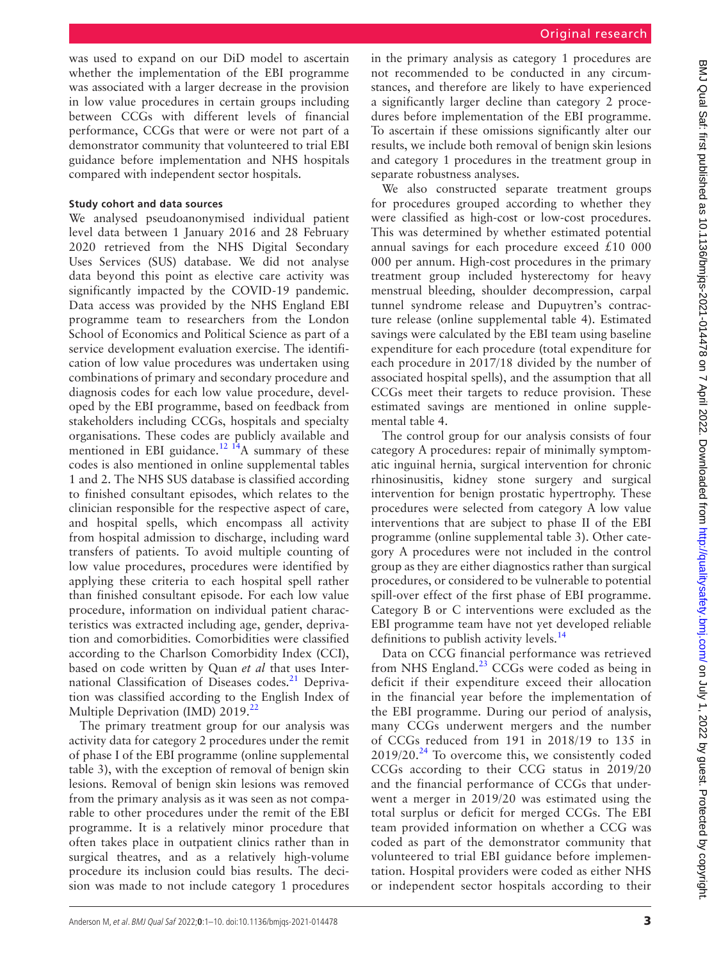was used to expand on our DiD model to ascertain whether the implementation of the EBI programme was associated with a larger decrease in the provision in low value procedures in certain groups including between CCGs with different levels of financial performance, CCGs that were or were not part of a demonstrator community that volunteered to trial EBI guidance before implementation and NHS hospitals compared with independent sector hospitals.

#### **Study cohort and data sources**

We analysed pseudoanonymised individual patient level data between 1 January 2016 and 28 February 2020 retrieved from the NHS Digital Secondary Uses Services (SUS) database. We did not analyse data beyond this point as elective care activity was significantly impacted by the COVID-19 pandemic. Data access was provided by the NHS England EBI programme team to researchers from the London School of Economics and Political Science as part of a service development evaluation exercise. The identification of low value procedures was undertaken using combinations of primary and secondary procedure and diagnosis codes for each low value procedure, developed by the EBI programme, based on feedback from stakeholders including CCGs, hospitals and specialty organisations. These codes are publicly available and mentioned in EBI guidance.<sup>12 14</sup>A summary of these codes is also mentioned in [online supplemental tables](https://dx.doi.org/10.1136/bmjqs-2021-014478)  [1 and 2](https://dx.doi.org/10.1136/bmjqs-2021-014478). The NHS SUS database is classified according to finished consultant episodes, which relates to the clinician responsible for the respective aspect of care, and hospital spells, which encompass all activity from hospital admission to discharge, including ward transfers of patients. To avoid multiple counting of low value procedures, procedures were identified by applying these criteria to each hospital spell rather than finished consultant episode. For each low value procedure, information on individual patient characteristics was extracted including age, gender, deprivation and comorbidities. Comorbidities were classified according to the Charlson Comorbidity Index (CCI), based on code written by Quan *et al* that uses Inter-national Classification of Diseases codes.<sup>[21](#page-8-13)</sup> Deprivation was classified according to the English Index of Multiple Deprivation (IMD) 2019.<sup>22</sup>

The primary treatment group for our analysis was activity data for category 2 procedures under the remit of phase I of the EBI programme [\(online supplemental](https://dx.doi.org/10.1136/bmjqs-2021-014478)  [table 3](https://dx.doi.org/10.1136/bmjqs-2021-014478)), with the exception of removal of benign skin lesions. Removal of benign skin lesions was removed from the primary analysis as it was seen as not comparable to other procedures under the remit of the EBI programme. It is a relatively minor procedure that often takes place in outpatient clinics rather than in surgical theatres, and as a relatively high-volume procedure its inclusion could bias results. The decision was made to not include category 1 procedures in the primary analysis as category 1 procedures are not recommended to be conducted in any circumstances, and therefore are likely to have experienced a significantly larger decline than category 2 procedures before implementation of the EBI programme. To ascertain if these omissions significantly alter our results, we include both removal of benign skin lesions and category 1 procedures in the treatment group in separate robustness analyses.

We also constructed separate treatment groups for procedures grouped according to whether they were classified as high-cost or low-cost procedures. This was determined by whether estimated potential annual savings for each procedure exceed  $£10000$ 000 per annum. High-cost procedures in the primary treatment group included hysterectomy for heavy menstrual bleeding, shoulder decompression, carpal tunnel syndrome release and Dupuytren's contracture release [\(online supplemental table 4\)](https://dx.doi.org/10.1136/bmjqs-2021-014478). Estimated savings were calculated by the EBI team using baseline expenditure for each procedure (total expenditure for each procedure in 2017/18 divided by the number of associated hospital spells), and the assumption that all CCGs meet their targets to reduce provision. These estimated savings are mentioned in [online supple](https://dx.doi.org/10.1136/bmjqs-2021-014478)[mental table 4.](https://dx.doi.org/10.1136/bmjqs-2021-014478)

The control group for our analysis consists of four category A procedures: repair of minimally symptomatic inguinal hernia, surgical intervention for chronic rhinosinusitis, kidney stone surgery and surgical intervention for benign prostatic hypertrophy. These procedures were selected from category A low value interventions that are subject to phase II of the EBI programme [\(online supplemental table 3\)](https://dx.doi.org/10.1136/bmjqs-2021-014478). Other category A procedures were not included in the control group as they are either diagnostics rather than surgical procedures, or considered to be vulnerable to potential spill-over effect of the first phase of EBI programme. Category B or C interventions were excluded as the EBI programme team have not yet developed reliable definitions to publish activity levels.<sup>[14](#page-8-7)</sup>

Data on CCG financial performance was retrieved from NHS England. $^{23}$  $^{23}$  $^{23}$  CCGs were coded as being in deficit if their expenditure exceed their allocation in the financial year before the implementation of the EBI programme. During our period of analysis, many CCGs underwent mergers and the number of CCGs reduced from 191 in 2018/19 to 135 in  $2019/20.<sup>24</sup>$  To overcome this, we consistently coded CCGs according to their CCG status in 2019/20 and the financial performance of CCGs that underwent a merger in 2019/20 was estimated using the total surplus or deficit for merged CCGs. The EBI team provided information on whether a CCG was coded as part of the demonstrator community that volunteered to trial EBI guidance before implementation. Hospital providers were coded as either NHS or independent sector hospitals according to their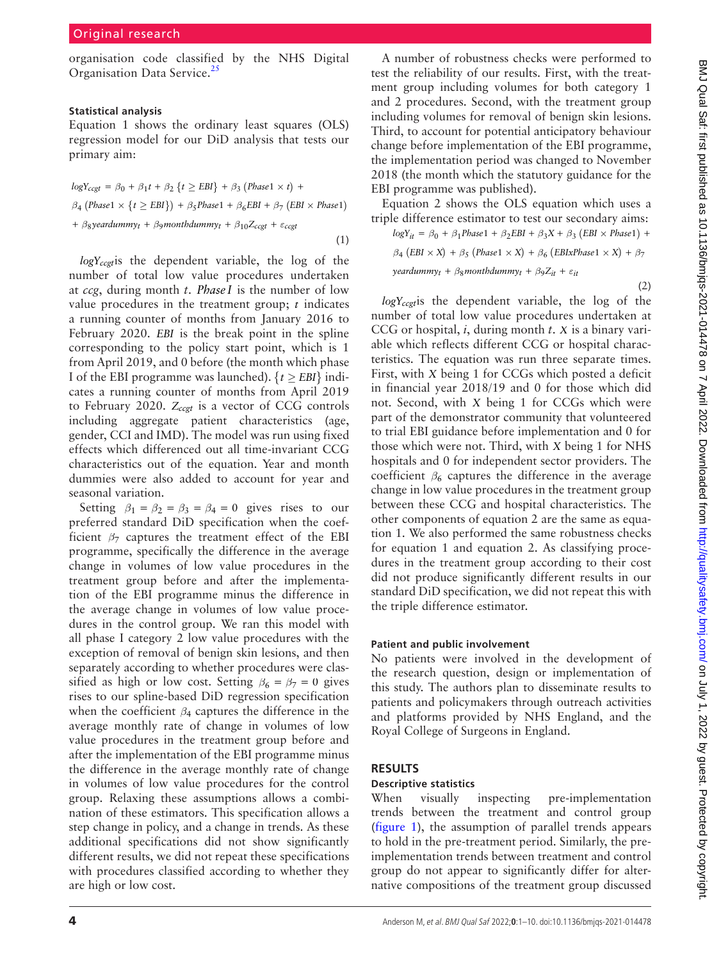organisation code classified by the NHS Digital Organisation Data Service.<sup>[25](#page-8-17)</sup>

#### **Statistical analysis**

[Equation 1](#page-3-0) shows the ordinary least squares (OLS) regression model for our DiD analysis that tests our primary aim:

<span id="page-3-0"></span>
$$
logY_{ccgt} = \beta_0 + \beta_1 t + \beta_2 \{t \ge EBI\} + \beta_3 (Phase1 \times t) +
$$
  
\n
$$
\beta_4 (Phase1 \times \{t \ge EBI\}) + \beta_5 Phase1 + \beta_6 EBI + \beta_7 (EBI \times Phase1)
$$
  
\n+ 
$$
\beta_8 year dummy_t + \beta_9 month dummy_t + \beta_{10} Z_{ccgt} + \varepsilon_{ccgt}
$$
 (1)

*logYccgt*is the dependent variable, the log of the number of total low value procedures undertaken at *ccg*, during month *t*. *Phase I* is the number of low value procedures in the treatment group; *t* indicates a running counter of months from January 2016 to February 2020. *EBI* is the break point in the spline corresponding to the policy start point, which is 1 from April 2019, and 0 before (the month which phase I of the EBI programme was launched).  $\{t \geq EBI\}$  indicates a running counter of months from April 2019 to February 2020.  $Z_{ccgt}$  is a vector of CCG controls including aggregate patient characteristics (age, gender, CCI and IMD). The model was run using fixed effects which differenced out all time-invariant CCG characteristics out of the equation. Year and month dummies were also added to account for year and seasonal variation.

Setting  $\beta_1 = \beta_2 = \beta_3 = \beta_4 = 0$  gives rises to our preferred standard DiD specification when the coefficient  $\beta$ <sub>7</sub> captures the treatment effect of the EBI programme, specifically the difference in the average change in volumes of low value procedures in the treatment group before and after the implementation of the EBI programme minus the difference in the average change in volumes of low value procedures in the control group. We ran this model with all phase I category 2 low value procedures with the exception of removal of benign skin lesions, and then separately according to whether procedures were classified as high or low cost. Setting  $\beta_6 = \beta_7 = 0$  gives rises to our spline-based DiD regression specification when the coefficient *β*<sup>4</sup> captures the difference in the average monthly rate of change in volumes of low value procedures in the treatment group before and after the implementation of the EBI programme minus the difference in the average monthly rate of change in volumes of low value procedures for the control group. Relaxing these assumptions allows a combination of these estimators. This specification allows a step change in policy, and a change in trends. As these additional specifications did not show significantly different results, we did not repeat these specifications with procedures classified according to whether they are high or low cost.

A number of robustness checks were performed to test the reliability of our results. First, with the treatment group including volumes for both category 1 and 2 procedures. Second, with the treatment group including volumes for removal of benign skin lesions. Third, to account for potential anticipatory behaviour change before implementation of the EBI programme, the implementation period was changed to November 2018 (the month which the statutory guidance for the EBI programme was published).

[Equation 2](#page-3-1) shows the OLS equation which uses a triple difference estimator to test our secondary aims:

 $logY_{it} = \beta_0 + \beta_1 Phase1 + \beta_2 EBI + \beta_3 X + \beta_3 (EBI \times Phase1) +$ 

$$
\beta_4\,\big( EBI \times X \big) \,+\, \beta_5\,\big( Phase1 \,\times X \big) \,+\, \beta_6\,\big( EBIxPhase1 \,\times X \big) \,+\, \beta_7
$$

<span id="page-3-1"></span> $y$ *eardummy<sub>t</sub>* +  $\beta_8$ *monthdummy<sub>t</sub>* +  $\beta_9 Z_{it}$  +  $\varepsilon_{it}$ 

(2)

*logYccgt*is the dependent variable, the log of the number of total low value procedures undertaken at CCG or hospital, *i*, during month *t*. *X* is a binary variable which reflects different CCG or hospital characteristics. The equation was run three separate times. First, with *X* being 1 for CCGs which posted a deficit in financial year 2018/19 and 0 for those which did not. Second, with *X* being 1 for CCGs which were part of the demonstrator community that volunteered to trial EBI guidance before implementation and 0 for those which were not. Third, with *X* being 1 for NHS hospitals and 0 for independent sector providers. The coefficient  $\beta_6$  captures the difference in the average change in low value procedures in the treatment group between these CCG and hospital characteristics. The other components of [equation 2](#page-3-1) are the same as [equa](#page-3-0)[tion 1](#page-3-0). We also performed the same robustness checks for [equation 1](#page-3-0) and [equation 2.](#page-3-1) As classifying procedures in the treatment group according to their cost did not produce significantly different results in our standard DiD specification, we did not repeat this with the triple difference estimator.

#### **Patient and public involvement**

No patients were involved in the development of the research question, design or implementation of this study. The authors plan to disseminate results to patients and policymakers through outreach activities and platforms provided by NHS England, and the Royal College of Surgeons in England.

### **RESULTS**

#### **Descriptive statistics**

When visually inspecting pre-implementation trends between the treatment and control group ([figure](#page-4-0) 1), the assumption of parallel trends appears to hold in the pre-treatment period. Similarly, the preimplementation trends between treatment and control group do not appear to significantly differ for alternative compositions of the treatment group discussed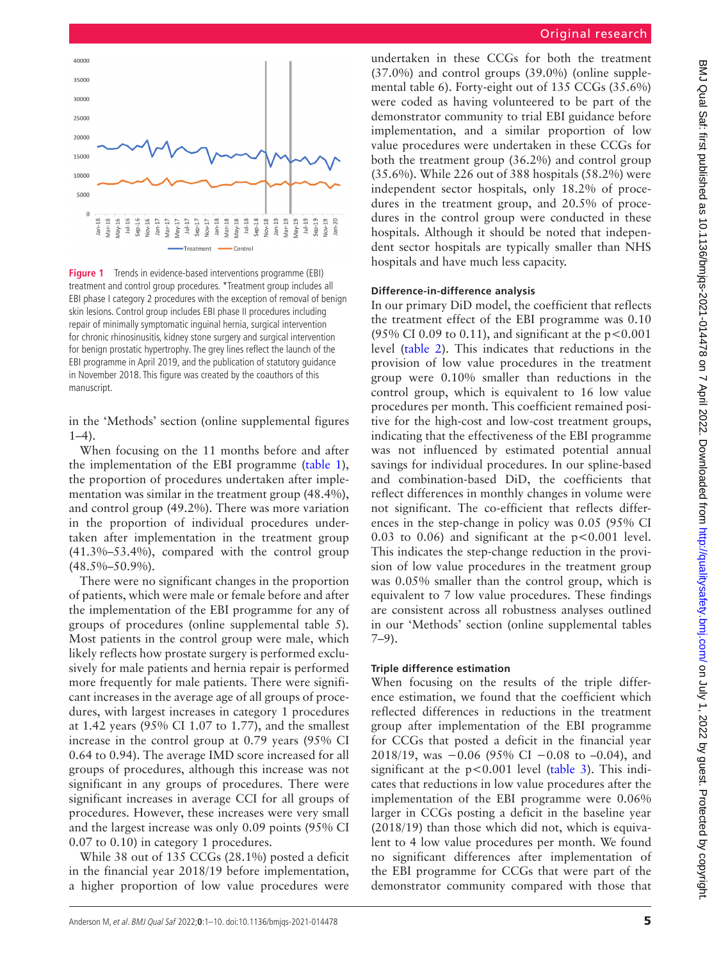

<span id="page-4-0"></span>**Figure 1** Trends in evidence-based interventions programme (EBI) treatment and control group procedures. \*Treatment group includes all EBI phase I category 2 procedures with the exception of removal of benign skin lesions. Control group includes EBI phase II procedures including repair of minimally symptomatic inguinal hernia, surgical intervention for chronic rhinosinusitis, kidney stone surgery and surgical intervention for benign prostatic hypertrophy. The grey lines reflect the launch of the EBI programme in April 2019, and the publication of statutory guidance in November 2018. This figure was created by the coauthors of this manuscript.

in the 'Methods' section [\(online supplemental figures](https://dx.doi.org/10.1136/bmjqs-2021-014478)  [1–4](https://dx.doi.org/10.1136/bmjqs-2021-014478)).

When focusing on the 11 months before and after the implementation of the EBI programme [\(table](#page-5-0) 1), the proportion of procedures undertaken after implementation was similar in the treatment group (48.4%), and control group (49.2%). There was more variation in the proportion of individual procedures undertaken after implementation in the treatment group (41.3%–53.4%), compared with the control group (48.5%–50.9%).

There were no significant changes in the proportion of patients, which were male or female before and after the implementation of the EBI programme for any of groups of procedures [\(online supplemental table 5\)](https://dx.doi.org/10.1136/bmjqs-2021-014478). Most patients in the control group were male, which likely reflects how prostate surgery is performed exclusively for male patients and hernia repair is performed more frequently for male patients. There were significant increases in the average age of all groups of procedures, with largest increases in category 1 procedures at 1.42 years (95% CI 1.07 to 1.77), and the smallest increase in the control group at 0.79 years (95% CI 0.64 to 0.94). The average IMD score increased for all groups of procedures, although this increase was not significant in any groups of procedures. There were significant increases in average CCI for all groups of procedures. However, these increases were very small and the largest increase was only 0.09 points (95% CI 0.07 to 0.10) in category 1 procedures.

While 38 out of 135 CCGs (28.1%) posted a deficit in the financial year 2018/19 before implementation, a higher proportion of low value procedures were

undertaken in these CCGs for both the treatment (37.0%) and control groups (39.0%) [\(online supple](https://dx.doi.org/10.1136/bmjqs-2021-014478)[mental table 6\)](https://dx.doi.org/10.1136/bmjqs-2021-014478). Forty-eight out of 135 CCGs (35.6%) were coded as having volunteered to be part of the demonstrator community to trial EBI guidance before implementation, and a similar proportion of low value procedures were undertaken in these CCGs for both the treatment group (36.2%) and control group (35.6%). While 226 out of 388 hospitals (58.2%) were independent sector hospitals, only 18.2% of procedures in the treatment group, and 20.5% of procedures in the control group were conducted in these hospitals. Although it should be noted that independent sector hospitals are typically smaller than NHS hospitals and have much less capacity.

#### **Difference-in-difference analysis**

In our primary DiD model, the coefficient that reflects the treatment effect of the EBI programme was 0.10 (95% CI 0.09 to 0.11), and significant at the  $p < 0.001$ level [\(table](#page-6-0) 2). This indicates that reductions in the provision of low value procedures in the treatment group were 0.10% smaller than reductions in the control group, which is equivalent to 16 low value procedures per month. This coefficient remained positive for the high-cost and low-cost treatment groups, indicating that the effectiveness of the EBI programme was not influenced by estimated potential annual savings for individual procedures. In our spline-based and combination-based DiD, the coefficients that reflect differences in monthly changes in volume were not significant. The co-efficient that reflects differences in the step-change in policy was 0.05 (95% CI 0.03 to 0.06) and significant at the  $p < 0.001$  level. This indicates the step-change reduction in the provision of low value procedures in the treatment group was 0.05% smaller than the control group, which is equivalent to 7 low value procedures. These findings are consistent across all robustness analyses outlined in our 'Methods' section [\(online supplemental tables](https://dx.doi.org/10.1136/bmjqs-2021-014478) [7–9\)](https://dx.doi.org/10.1136/bmjqs-2021-014478).

#### **Triple difference estimation**

When focusing on the results of the triple difference estimation, we found that the coefficient which reflected differences in reductions in the treatment group after implementation of the EBI programme for CCGs that posted a deficit in the financial year 2018/19, was −0.06 (95% CI −0.08 to –0.04), and significant at the p<0.001 level ([table](#page-7-0) 3). This indicates that reductions in low value procedures after the implementation of the EBI programme were 0.06% larger in CCGs posting a deficit in the baseline year (2018/19) than those which did not, which is equivalent to 4 low value procedures per month. We found no significant differences after implementation of the EBI programme for CCGs that were part of the demonstrator community compared with those that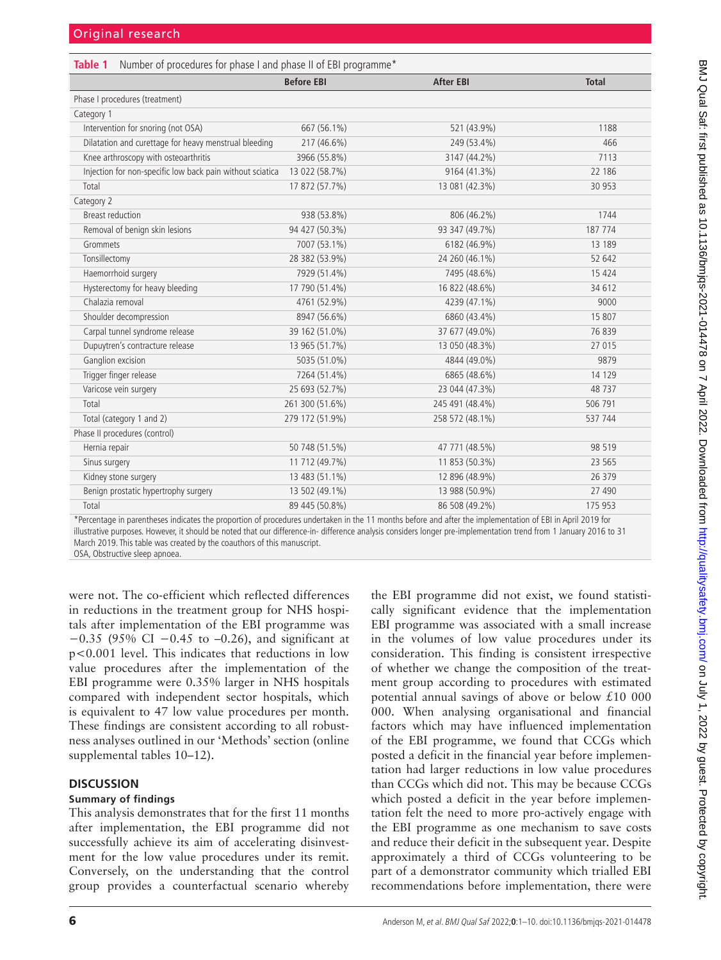<span id="page-5-0"></span>

| <b>Before EBI</b><br><b>After EBI</b><br><b>Total</b><br>Phase I procedures (treatment)<br>Category 1<br>Intervention for snoring (not OSA)<br>667 (56.1%)<br>521 (43.9%)<br>1188<br>Dilatation and curettage for heavy menstrual bleeding<br>217 (46.6%)<br>249 (53.4%)<br>466<br>Knee arthroscopy with osteoarthritis<br>3966 (55.8%)<br>3147 (44.2%)<br>7113<br>Injection for non-specific low back pain without sciatica<br>9164 (41.3%)<br>13 022 (58.7%)<br>22 18 6<br>17 872 (57.7%)<br>13 081 (42.3%)<br>30 953<br>Total<br>Category 2<br>1744<br><b>Breast reduction</b><br>938 (53.8%)<br>806 (46.2%)<br>Removal of benign skin lesions<br>94 427 (50.3%)<br>93 347 (49.7%)<br>187 774<br>Grommets<br>7007 (53.1%)<br>6182 (46.9%)<br>13 189 |
|--------------------------------------------------------------------------------------------------------------------------------------------------------------------------------------------------------------------------------------------------------------------------------------------------------------------------------------------------------------------------------------------------------------------------------------------------------------------------------------------------------------------------------------------------------------------------------------------------------------------------------------------------------------------------------------------------------------------------------------------------------|
|                                                                                                                                                                                                                                                                                                                                                                                                                                                                                                                                                                                                                                                                                                                                                        |
|                                                                                                                                                                                                                                                                                                                                                                                                                                                                                                                                                                                                                                                                                                                                                        |
|                                                                                                                                                                                                                                                                                                                                                                                                                                                                                                                                                                                                                                                                                                                                                        |
|                                                                                                                                                                                                                                                                                                                                                                                                                                                                                                                                                                                                                                                                                                                                                        |
|                                                                                                                                                                                                                                                                                                                                                                                                                                                                                                                                                                                                                                                                                                                                                        |
|                                                                                                                                                                                                                                                                                                                                                                                                                                                                                                                                                                                                                                                                                                                                                        |
|                                                                                                                                                                                                                                                                                                                                                                                                                                                                                                                                                                                                                                                                                                                                                        |
|                                                                                                                                                                                                                                                                                                                                                                                                                                                                                                                                                                                                                                                                                                                                                        |
|                                                                                                                                                                                                                                                                                                                                                                                                                                                                                                                                                                                                                                                                                                                                                        |
|                                                                                                                                                                                                                                                                                                                                                                                                                                                                                                                                                                                                                                                                                                                                                        |
|                                                                                                                                                                                                                                                                                                                                                                                                                                                                                                                                                                                                                                                                                                                                                        |
|                                                                                                                                                                                                                                                                                                                                                                                                                                                                                                                                                                                                                                                                                                                                                        |
| Tonsillectomy<br>28 382 (53.9%)<br>24 260 (46.1%)<br>52 642                                                                                                                                                                                                                                                                                                                                                                                                                                                                                                                                                                                                                                                                                            |
| Haemorrhoid surgery<br>7929 (51.4%)<br>7495 (48.6%)<br>15 4 24                                                                                                                                                                                                                                                                                                                                                                                                                                                                                                                                                                                                                                                                                         |
| Hysterectomy for heavy bleeding<br>17 790 (51.4%)<br>16 822 (48.6%)<br>34 612                                                                                                                                                                                                                                                                                                                                                                                                                                                                                                                                                                                                                                                                          |
| Chalazia removal<br>4761 (52.9%)<br>4239 (47.1%)<br>9000                                                                                                                                                                                                                                                                                                                                                                                                                                                                                                                                                                                                                                                                                               |
| Shoulder decompression<br>8947 (56.6%)<br>6860 (43.4%)<br>15 807                                                                                                                                                                                                                                                                                                                                                                                                                                                                                                                                                                                                                                                                                       |
| Carpal tunnel syndrome release<br>37 677 (49.0%)<br>39 162 (51.0%)<br>76 839                                                                                                                                                                                                                                                                                                                                                                                                                                                                                                                                                                                                                                                                           |
| Dupuytren's contracture release<br>13 965 (51.7%)<br>13 050 (48.3%)<br>27 015                                                                                                                                                                                                                                                                                                                                                                                                                                                                                                                                                                                                                                                                          |
| Ganglion excision<br>5035 (51.0%)<br>9879<br>4844 (49.0%)                                                                                                                                                                                                                                                                                                                                                                                                                                                                                                                                                                                                                                                                                              |
| Trigger finger release<br>7264 (51.4%)<br>6865 (48.6%)<br>14 129                                                                                                                                                                                                                                                                                                                                                                                                                                                                                                                                                                                                                                                                                       |
| Varicose vein surgery<br>25 693 (52.7%)<br>23 044 (47.3%)<br>48737                                                                                                                                                                                                                                                                                                                                                                                                                                                                                                                                                                                                                                                                                     |
| Total<br>261 300 (51.6%)<br>506 791<br>245 491 (48.4%)                                                                                                                                                                                                                                                                                                                                                                                                                                                                                                                                                                                                                                                                                                 |
| Total (category 1 and 2)<br>279 172 (51.9%)<br>258 572 (48.1%)<br>537 744                                                                                                                                                                                                                                                                                                                                                                                                                                                                                                                                                                                                                                                                              |
| Phase II procedures (control)                                                                                                                                                                                                                                                                                                                                                                                                                                                                                                                                                                                                                                                                                                                          |
| 50 748 (51.5%)<br>98 519<br>Hernia repair<br>47 771 (48.5%)                                                                                                                                                                                                                                                                                                                                                                                                                                                                                                                                                                                                                                                                                            |
| Sinus surgery<br>11 712 (49.7%)<br>11 853 (50.3%)<br>23 5 65                                                                                                                                                                                                                                                                                                                                                                                                                                                                                                                                                                                                                                                                                           |
| Kidney stone surgery<br>13 483 (51.1%)<br>12 896 (48.9%)<br>26 379                                                                                                                                                                                                                                                                                                                                                                                                                                                                                                                                                                                                                                                                                     |
| 13 502 (49.1%)<br>Benign prostatic hypertrophy surgery<br>13 988 (50.9%)<br>27 490                                                                                                                                                                                                                                                                                                                                                                                                                                                                                                                                                                                                                                                                     |
| Total<br>89 445 (50.8%)<br>86 508 (49.2%)<br>175 953<br>*Devenues in novemberse indicates the proportion of pressduces undoublen in the 11 member before and efter the implementation of FDI in April 2010 for                                                                                                                                                                                                                                                                                                                                                                                                                                                                                                                                         |

Percentage in parentheses indicates the proportion of procedures undertaken in the 11 months before and after the implementation of EBI in April 2019 for illustrative purposes. However, it should be noted that our difference-in- difference analysis considers longer pre-implementation trend from 1 January 2016 to 31 March 2019. This table was created by the coauthors of this manuscript.

OSA, Obstructive sleep apnoea.

were not. The co-efficient which reflected differences in reductions in the treatment group for NHS hospitals after implementation of the EBI programme was −0.35 (95% CI −0.45 to –0.26), and significant at p<0.001 level. This indicates that reductions in low value procedures after the implementation of the EBI programme were 0.35% larger in NHS hospitals compared with independent sector hospitals, which is equivalent to 47 low value procedures per month. These findings are consistent according to all robustness analyses outlined in our 'Methods' section ([online](https://dx.doi.org/10.1136/bmjqs-2021-014478)  [supplemental tables 10–12](https://dx.doi.org/10.1136/bmjqs-2021-014478)).

## **DISCUSSION**

## **Summary of findings**

This analysis demonstrates that for the first 11 months after implementation, the EBI programme did not successfully achieve its aim of accelerating disinvestment for the low value procedures under its remit. Conversely, on the understanding that the control group provides a counterfactual scenario whereby

the EBI programme did not exist, we found statistically significant evidence that the implementation EBI programme was associated with a small increase in the volumes of low value procedures under its consideration. This finding is consistent irrespective of whether we change the composition of the treatment group according to procedures with estimated potential annual savings of above or below £10 000 000. When analysing organisational and financial factors which may have influenced implementation of the EBI programme, we found that CCGs which posted a deficit in the financial year before implementation had larger reductions in low value procedures than CCGs which did not. This may be because CCGs which posted a deficit in the year before implementation felt the need to more pro-actively engage with the EBI programme as one mechanism to save costs and reduce their deficit in the subsequent year. Despite approximately a third of CCGs volunteering to be part of a demonstrator community which trialled EBI recommendations before implementation, there were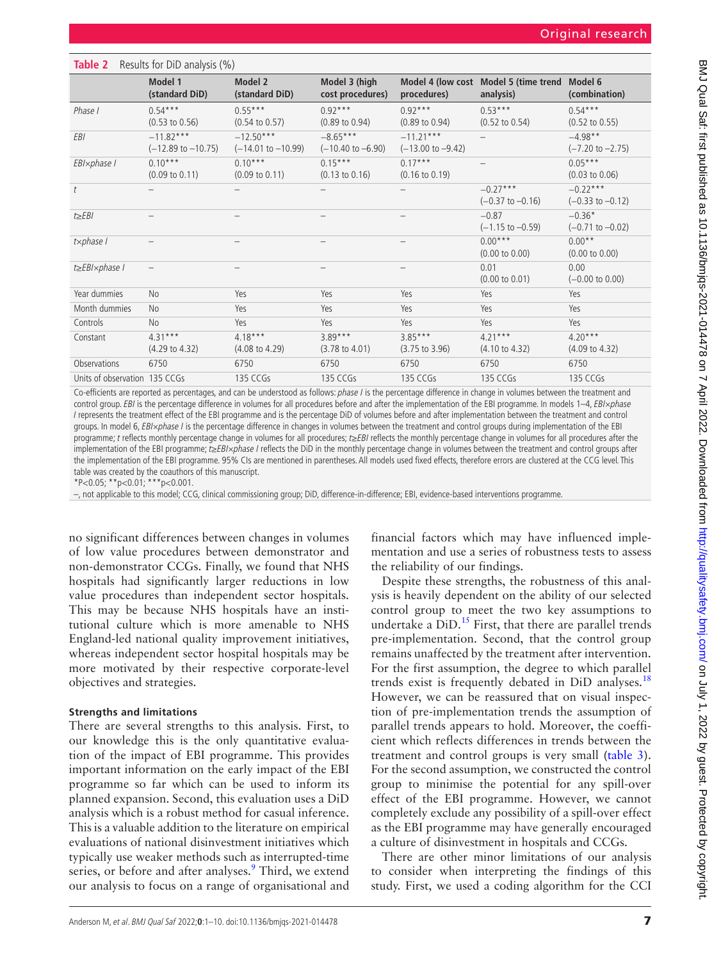<span id="page-6-0"></span>

| Table 2                       | Results for DiD analysis (%)                 |                                        |                                            |                                             |                                                    |                                          |  |  |
|-------------------------------|----------------------------------------------|----------------------------------------|--------------------------------------------|---------------------------------------------|----------------------------------------------------|------------------------------------------|--|--|
|                               | Model 1<br>(standard DiD)                    | Model 2<br>(standard DiD)              | Model 3 (high<br>cost procedures)          | procedures)                                 | Model 4 (low cost Model 5 (time trend<br>analysis) | Model 6<br>(combination)                 |  |  |
| Phase I                       | $0.54***$<br>$(0.53 \text{ to } 0.56)$       | $0.55***$<br>$(0.54 \text{ to } 0.57)$ | $0.92***$<br>$(0.89 \text{ to } 0.94)$     | $0.92***$<br>$(0.89 \text{ to } 0.94)$      | $0.53***$<br>$(0.52 \text{ to } 0.54)$             | $0.54***$<br>$(0.52 \text{ to } 0.55)$   |  |  |
| <b>EBI</b>                    | $-11.82***$<br>$(-12.89 \text{ to } -10.75)$ | $-12.50***$<br>$(-14.01$ to $-10.99)$  | $-8.65***$<br>$(-10.40 \text{ to } -6.90)$ | $-11.21***$<br>$(-13.00 \text{ to } -9.42)$ |                                                    | $-4.98**$<br>$(-7.20 \text{ to } -2.75)$ |  |  |
| EBI×phase I                   | $0.10***$<br>$(0.09 \text{ to } 0.11)$       | $0.10***$<br>$(0.09 \text{ to } 0.11)$ | $0.15***$<br>$(0.13 \text{ to } 0.16)$     | $0.17***$<br>$(0.16 \text{ to } 0.19)$      |                                                    | $0.05***$<br>$(0.03 \text{ to } 0.06)$   |  |  |
| $\bar{t}$                     | -                                            | $\overline{\phantom{0}}$               |                                            |                                             | $-0.27***$<br>$(-0.37 \text{ to } -0.16)$          | $-0.22***$<br>$(-0.33$ to $-0.12)$       |  |  |
| $t \geq EBI$                  | -                                            | $\qquad \qquad -$                      | $\qquad \qquad -$                          |                                             | $-0.87$<br>$(-1.15 \text{ to } -0.59)$             | $-0.36*$<br>$(-0.71$ to $-0.02)$         |  |  |
| tx phase I                    |                                              | $\qquad \qquad -$                      |                                            |                                             | $0.00***$<br>$(0.00 \text{ to } 0.00)$             | $0.00**$<br>$(0.00 \text{ to } 0.00)$    |  |  |
| t≥EBI×phase I                 | -                                            | $\overline{\phantom{0}}$               | $\overline{\phantom{0}}$                   |                                             | 0.01<br>$(0.00 \text{ to } 0.01)$                  | 0.00<br>$(-0.00 \text{ to } 0.00)$       |  |  |
| Year dummies                  | <b>No</b>                                    | Yes                                    | Yes                                        | Yes                                         | Yes                                                | Yes                                      |  |  |
| Month dummies                 | <b>No</b>                                    | Yes                                    | Yes                                        | Yes                                         | Yes                                                | Yes                                      |  |  |
| Controls                      | <b>No</b>                                    | Yes                                    | Yes                                        | Yes                                         | Yes                                                | Yes                                      |  |  |
| Constant                      | $4.31***$<br>$(4.29 \text{ to } 4.32)$       | $4.18***$<br>$(4.08 \text{ to } 4.29)$ | $3.89***$<br>$(3.78 \text{ to } 4.01)$     | $3.85***$<br>$(3.75 \text{ to } 3.96)$      | $4.21***$<br>$(4.10 \text{ to } 4.32)$             | $4.20***$<br>$(4.09 \text{ to } 4.32)$   |  |  |
| Observations                  | 6750                                         | 6750                                   | 6750                                       | 6750                                        | 6750                                               | 6750                                     |  |  |
| Units of observation 135 CCGs |                                              | 135 CCGs                               | 135 CCGs                                   | 135 CCGs                                    | 135 CCGs                                           | 135 CCGs                                 |  |  |

Co-efficients are reported as percentages, and can be understood as follows: phase I is the percentage difference in change in volumes between the treatment and control group. EBI is the percentage difference in volumes for all procedures before and after the implementation of the EBI programme. In models 1–4, EBI×phase I represents the treatment effect of the EBI programme and is the percentage DiD of volumes before and after implementation between the treatment and control groups. In model 6, EBI×phase I is the percentage difference in changes in volumes between the treatment and control groups during implementation of the EBI programme; t reflects monthly percentage change in volumes for all procedures; t≥EBI reflects the monthly percentage change in volumes for all procedures after the implementation of the EBI programme; t≥EBI×phase I reflects the DiD in the monthly percentage change in volumes between the treatment and control groups after the implementation of the EBI programme. 95% CIs are mentioned in parentheses. All models used fixed effects, therefore errors are clustered at the CCG level. This table was created by the coauthors of this manuscript.

\*P<0.05; \*\*p<0.01; \*\*\*p<0.001.

–, not applicable to this model; CCG, clinical commissioning group; DiD, difference-in-difference; EBI, evidence-based interventions programme.

no significant differences between changes in volumes of low value procedures between demonstrator and non-demonstrator CCGs. Finally, we found that NHS hospitals had significantly larger reductions in low value procedures than independent sector hospitals. This may be because NHS hospitals have an institutional culture which is more amenable to NHS England-led national quality improvement initiatives, whereas independent sector hospital hospitals may be more motivated by their respective corporate-level objectives and strategies.

#### **Strengths and limitations**

There are several strengths to this analysis. First, to our knowledge this is the only quantitative evaluation of the impact of EBI programme. This provides important information on the early impact of the EBI programme so far which can be used to inform its planned expansion. Second, this evaluation uses a DiD analysis which is a robust method for casual inference. This is a valuable addition to the literature on empirical evaluations of national disinvestment initiatives which typically use weaker methods such as interrupted-time series, or before and after analyses.<sup>[9](#page-8-3)</sup> Third, we extend our analysis to focus on a range of organisational and

financial factors which may have influenced implementation and use a series of robustness tests to assess the reliability of our findings.

Despite these strengths, the robustness of this analysis is heavily dependent on the ability of our selected control group to meet the two key assumptions to undertake a  $DiD$ <sup>15</sup> First, that there are parallel trends pre-implementation. Second, that the control group remains unaffected by the treatment after intervention. For the first assumption, the degree to which parallel trends exist is frequently debated in  $DiD$  analyses.<sup>[18](#page-8-11)</sup> However, we can be reassured that on visual inspection of pre-implementation trends the assumption of parallel trends appears to hold. Moreover, the coefficient which reflects differences in trends between the treatment and control groups is very small [\(table](#page-7-0) 3). For the second assumption, we constructed the control group to minimise the potential for any spill-over effect of the EBI programme. However, we cannot completely exclude any possibility of a spill-over effect as the EBI programme may have generally encouraged a culture of disinvestment in hospitals and CCGs.

There are other minor limitations of our analysis to consider when interpreting the findings of this study. First, we used a coding algorithm for the CCI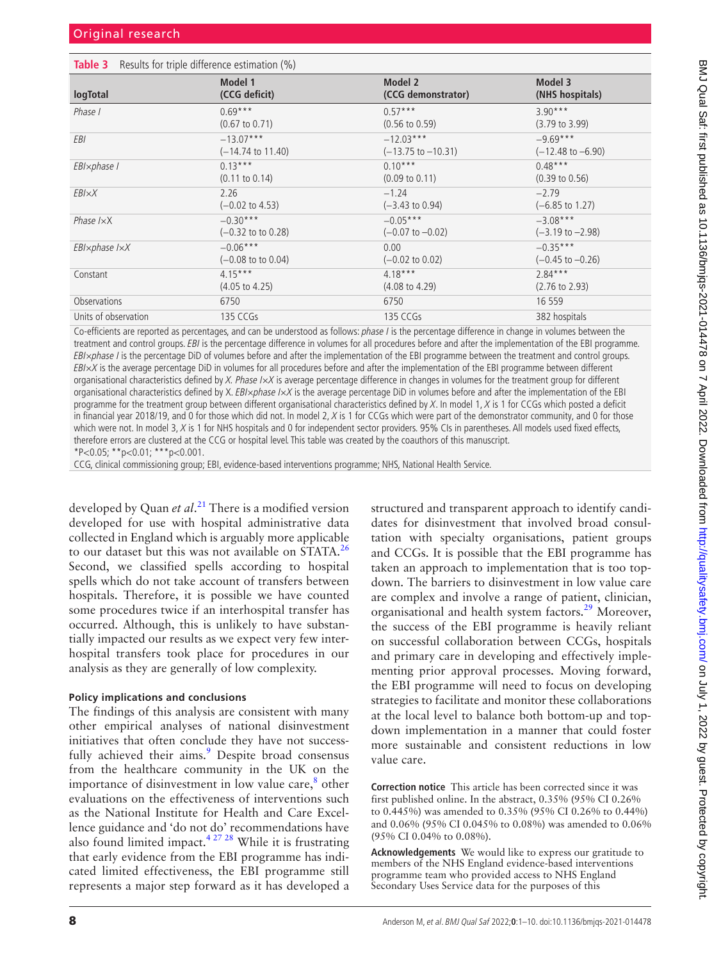<span id="page-7-0"></span>

| <b>Table 3</b> Results for triple difference estimation (%) |                               |                               |                              |  |  |  |
|-------------------------------------------------------------|-------------------------------|-------------------------------|------------------------------|--|--|--|
| logTotal                                                    | Model 1                       | Model 2                       | Model 3                      |  |  |  |
|                                                             | (CCG deficit)                 | (CCG demonstrator)            | (NHS hospitals)              |  |  |  |
| Phase I                                                     | $0.69***$                     | $0.57***$                     | $3.90***$                    |  |  |  |
|                                                             | $(0.67 \text{ to } 0.71)$     | $(0.56 \text{ to } 0.59)$     | $(3.79 \text{ to } 3.99)$    |  |  |  |
| <b>EBI</b>                                                  | $-13.07***$                   | $-12.03***$                   | $-9.69***$                   |  |  |  |
|                                                             | $(-14.74 \text{ to } 11.40)$  | $(-13.75 \text{ to } -10.31)$ | $(-12.48 \text{ to } -6.90)$ |  |  |  |
| EBI×phase I                                                 | $0.13***$                     | $0.10***$                     | $0.48***$                    |  |  |  |
|                                                             | $(0.11 \text{ to } 0.14)$     | $(0.09 \text{ to } 0.11)$     | $(0.39 \text{ to } 0.56)$    |  |  |  |
| EBI×X                                                       | 2.26                          | $-1.24$                       | $-2.79$                      |  |  |  |
|                                                             | $(-0.02 \text{ to } 4.53)$    | $(-3.43 \text{ to } 0.94)$    | $(-6.85 \text{ to } 1.27)$   |  |  |  |
| Phase $I \times X$                                          | $-0.30***$                    | $-0.05***$                    | $-3.08***$                   |  |  |  |
|                                                             | $(-0.32 \text{ to to } 0.28)$ | $(-0.07 \text{ to } -0.02)$   | $(-3.19 \text{ to } -2.98)$  |  |  |  |
| EBI×phase I×X                                               | $-0.06***$                    | 0.00                          | $-0.35***$                   |  |  |  |
|                                                             | $(-0.08 \text{ to } 0.04)$    | $(-0.02 \text{ to } 0.02)$    | $(-0.45 \text{ to } -0.26)$  |  |  |  |
| Constant                                                    | $4.15***$                     | $4.18***$                     | $2.84***$                    |  |  |  |
|                                                             | $(4.05 \text{ to } 4.25)$     | $(4.08 \text{ to } 4.29)$     | $(2.76 \text{ to } 2.93)$    |  |  |  |
| <b>Observations</b>                                         | 6750                          | 6750                          | 16 559                       |  |  |  |
| Units of observation                                        | 135 CCGs                      | 135 CCGs                      | 382 hospitals                |  |  |  |

Co-efficients are reported as percentages, and can be understood as follows: phase I is the percentage difference in change in volumes between the treatment and control groups. EBI is the percentage difference in volumes for all procedures before and after the implementation of the EBI programme. EBI×phase I is the percentage DiD of volumes before and after the implementation of the EBI programme between the treatment and control groups.  $EBI \times X$  is the average percentage DiD in volumes for all procedures before and after the implementation of the EBI programme between different organisational characteristics defined by  $X$ . Phase  $I \times X$  is average percentage difference in changes in volumes for the treatment group for different organisational characteristics defined by X. EBI×phase I×X is the average percentage DiD in volumes before and after the implementation of the EBI programme for the treatment group between different organisational characteristics defined by  $X$ . In model 1,  $X$  is 1 for CCGs which posted a deficit in financial year 2018/19, and 0 for those which did not. In model 2, X is 1 for CCGs which were part of the demonstrator community, and 0 for those which were not. In model 3, X is 1 for NHS hospitals and 0 for independent sector providers. 95% CIs in parentheses. All models used fixed effects, therefore errors are clustered at the CCG or hospital level. This table was created by the coauthors of this manuscript.  $*P<0.05$ ;  $*P<0.01$ ;  $**P<0.001$ .

CCG, clinical commissioning group; EBI, evidence-based interventions programme; NHS, National Health Service.

developed by Quan *et al*. [21](#page-8-13) There is a modified version developed for use with hospital administrative data collected in England which is arguably more applicable to our dataset but this was not available on STATA.<sup>26</sup> Second, we classified spells according to hospital spells which do not take account of transfers between hospitals. Therefore, it is possible we have counted some procedures twice if an interhospital transfer has occurred. Although, this is unlikely to have substantially impacted our results as we expect very few interhospital transfers took place for procedures in our analysis as they are generally of low complexity.

#### **Policy implications and conclusions**

The findings of this analysis are consistent with many other empirical analyses of national disinvestment initiatives that often conclude they have not success-fully achieved their aims.<sup>[9](#page-8-3)</sup> Despite broad consensus from the healthcare community in the UK on the importance of disinvestment in low value care, ${}^{8}$  ${}^{8}$  ${}^{8}$  other evaluations on the effectiveness of interventions such as the National Institute for Health and Care Excellence guidance and 'do not do' recommendations have also found limited impact[.4 27 28](#page-8-19) While it is frustrating that early evidence from the EBI programme has indicated limited effectiveness, the EBI programme still represents a major step forward as it has developed a

structured and transparent approach to identify candidates for disinvestment that involved broad consultation with specialty organisations, patient groups and CCGs. It is possible that the EBI programme has taken an approach to implementation that is too topdown. The barriers to disinvestment in low value care are complex and involve a range of patient, clinician, organisational and health system factors.<sup>29</sup> Moreover, the success of the EBI programme is heavily reliant on successful collaboration between CCGs, hospitals and primary care in developing and effectively implementing prior approval processes. Moving forward, the EBI programme will need to focus on developing strategies to facilitate and monitor these collaborations at the local level to balance both bottom-up and topdown implementation in a manner that could foster more sustainable and consistent reductions in low value care.

**Correction notice** This article has been corrected since it was first published online. In the abstract, 0.35% (95% CI 0.26% to 0.445%) was amended to 0.35% (95% CI 0.26% to 0.44%) and 0.06% (95% CI 0.045% to 0.08%) was amended to 0.06% (95% CI 0.04% to 0.08%).

**Acknowledgements** We would like to express our gratitude to members of the NHS England evidence-based interventions programme team who provided access to NHS England Secondary Uses Service data for the purposes of this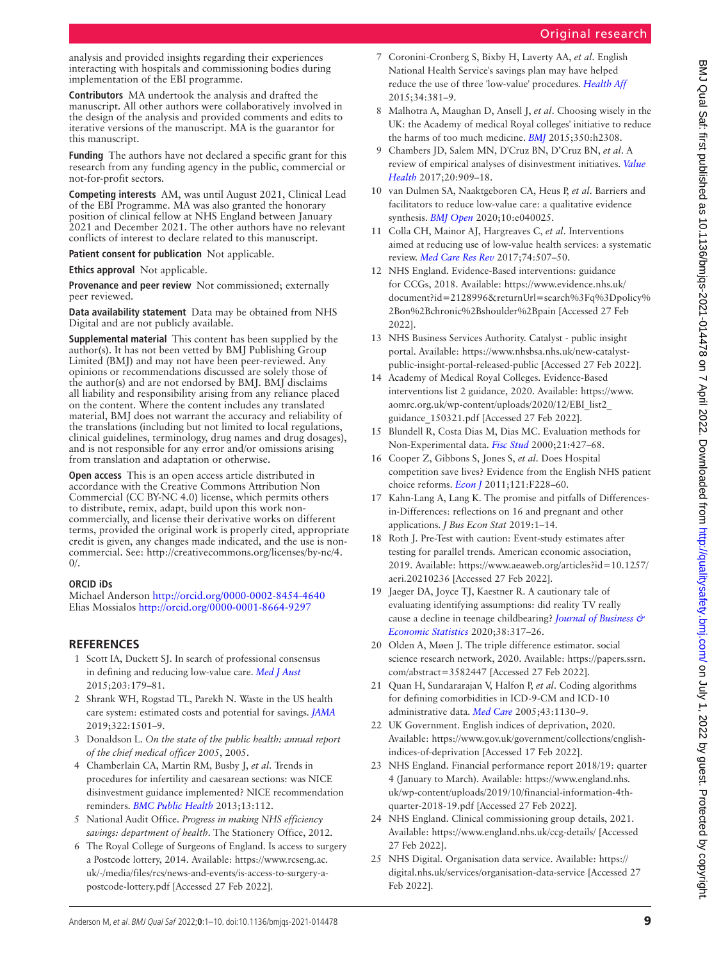analysis and provided insights regarding their experiences interacting with hospitals and commissioning bodies during implementation of the EBI programme.

**Contributors** MA undertook the analysis and drafted the manuscript. All other authors were collaboratively involved in the design of the analysis and provided comments and edits to iterative versions of the manuscript. MA is the guarantor for this manuscript.

**Funding** The authors have not declared a specific grant for this research from any funding agency in the public, commercial or not-for-profit sectors.

**Competing interests** AM, was until August 2021, Clinical Lead of the EBI Programme. MA was also granted the honorary position of clinical fellow at NHS England between January 2021 and December 2021. The other authors have no relevant conflicts of interest to declare related to this manuscript.

**Patient consent for publication** Not applicable.

**Ethics approval** Not applicable.

**Provenance and peer review** Not commissioned; externally peer reviewed.

**Data availability statement** Data may be obtained from NHS Digital and are not publicly available.

**Supplemental material** This content has been supplied by the author(s). It has not been vetted by BMJ Publishing Group Limited (BMJ) and may not have been peer-reviewed. Any opinions or recommendations discussed are solely those of the author(s) and are not endorsed by BMJ. BMJ disclaims all liability and responsibility arising from any reliance placed on the content. Where the content includes any translated material, BMJ does not warrant the accuracy and reliability of the translations (including but not limited to local regulations, clinical guidelines, terminology, drug names and drug dosages), and is not responsible for any error and/or omissions arising from translation and adaptation or otherwise.

**Open access** This is an open access article distributed in accordance with the Creative Commons Attribution Non Commercial (CC BY-NC 4.0) license, which permits others to distribute, remix, adapt, build upon this work noncommercially, and license their derivative works on different terms, provided the original work is properly cited, appropriate credit is given, any changes made indicated, and the use is noncommercial. See: [http://creativecommons.org/licenses/by-nc/4.](http://creativecommons.org/licenses/by-nc/4.0/) [0/](http://creativecommons.org/licenses/by-nc/4.0/).

## **ORCID iDs**

Michael Anderson<http://orcid.org/0000-0002-8454-4640> Elias Mossialos <http://orcid.org/0000-0001-8664-9297>

## **REFERENCES**

- <span id="page-8-0"></span>1 Scott IA, Duckett SJ. In search of professional consensus in defining and reducing low-value care. *[Med J Aust](http://dx.doi.org/10.5694/mja14.01664)* 2015;203:179–81.
- <span id="page-8-1"></span>2 Shrank WH, Rogstad TL, Parekh N. Waste in the US health care system: estimated costs and potential for savings. *[JAMA](http://dx.doi.org/10.1001/jama.2019.13978)* 2019;322:1501–9.
- <span id="page-8-2"></span>3 Donaldson L. *On the state of the public health: annual report of the chief medical officer 2005*, 2005.
- <span id="page-8-19"></span>4 Chamberlain CA, Martin RM, Busby J, *et al*. Trends in procedures for infertility and caesarean sections: was NICE disinvestment guidance implemented? NICE recommendation reminders. *[BMC Public Health](http://dx.doi.org/10.1186/1471-2458-13-112)* 2013;13:112.
- 5 National Audit Office. *Progress in making NHS efficiency savings: department of health*. The Stationery Office, 2012.
- 6 The Royal College of Surgeons of England. Is access to surgery a Postcode lottery, 2014. Available: [https://www.rcseng.ac.](https://www.rcseng.ac.uk/-/media/files/rcs/news-and-events/is-access-to-surgery-a-postcode-lottery.pdf) [uk/-/media/files/rcs/news-and-events/is-access-to-surgery-a-](https://www.rcseng.ac.uk/-/media/files/rcs/news-and-events/is-access-to-surgery-a-postcode-lottery.pdf)
- 7 Coronini-Cronberg S, Bixby H, Laverty AA, *et al*. English National Health Service's savings plan may have helped reduce the use of three 'low-value' procedures. *[Health Aff](http://dx.doi.org/10.1377/hlthaff.2014.0773)* 2015;34:381–9.
- <span id="page-8-18"></span>8 Malhotra A, Maughan D, Ansell J, *et al*. Choosing wisely in the UK: the Academy of medical Royal colleges' initiative to reduce the harms of too much medicine. *[BMJ](http://dx.doi.org/10.1136/bmj.h2308)* 2015;350:h2308.
- <span id="page-8-3"></span>9 Chambers JD, Salem MN, D'Cruz BN, D'Cruz BN, *et al*. A review of empirical analyses of disinvestment initiatives. *[Value](http://dx.doi.org/10.1016/j.jval.2017.03.015)  [Health](http://dx.doi.org/10.1016/j.jval.2017.03.015)* 2017;20:909–18.
- <span id="page-8-4"></span>10 van Dulmen SA, Naaktgeboren CA, Heus P, *et al*. Barriers and facilitators to reduce low-value care: a qualitative evidence synthesis. *[BMJ Open](http://dx.doi.org/10.1136/bmjopen-2020-040025)* 2020;10:e040025.
- 11 Colla CH, Mainor AJ, Hargreaves C, *et al*. Interventions aimed at reducing use of low-value health services: a systematic review. *[Med Care Res Rev](http://dx.doi.org/10.1177/1077558716656970)* 2017;74:507–50.
- <span id="page-8-5"></span>12 NHS England. Evidence-Based interventions: guidance for CCGs, 2018. Available: [https://www.evidence.nhs.uk/](https://www.evidence.nhs.uk/document?id=2128996&returnUrl=search%3Fq%3Dpolicy%2Bon%2Bchronic%2Bshoulder%2Bpain) [document?id=2128996&returnUrl=search%3Fq%3Dpolicy%](https://www.evidence.nhs.uk/document?id=2128996&returnUrl=search%3Fq%3Dpolicy%2Bon%2Bchronic%2Bshoulder%2Bpain) [2Bon%2Bchronic%2Bshoulder%2Bpain](https://www.evidence.nhs.uk/document?id=2128996&returnUrl=search%3Fq%3Dpolicy%2Bon%2Bchronic%2Bshoulder%2Bpain) [Accessed 27 Feb 2022].
- <span id="page-8-6"></span>13 NHS Business Services Authority. Catalyst - public insight portal. Available: [https://www.nhsbsa.nhs.uk/new-catalyst](https://www.nhsbsa.nhs.uk/new-catalyst-public-insight-portal-released-public)[public-insight-portal-released-public](https://www.nhsbsa.nhs.uk/new-catalyst-public-insight-portal-released-public) [Accessed 27 Feb 2022].
- <span id="page-8-7"></span>14 Academy of Medical Royal Colleges. Evidence-Based interventions list 2 guidance, 2020. Available: [https://www.](https://www.aomrc.org.uk/wp-content/uploads/2020/12/EBI_list2_guidance_150321.pdf) aomrc.org.uk/wp-content/uploads/2020/12/EBI\_list2 [guidance\\_150321.pdf](https://www.aomrc.org.uk/wp-content/uploads/2020/12/EBI_list2_guidance_150321.pdf) [Accessed 27 Feb 2022].
- <span id="page-8-8"></span>15 Blundell R, Costa Dias M, Dias MC. Evaluation methods for Non-Experimental data. *[Fisc Stud](http://dx.doi.org/10.1111/j.1475-5890.2000.tb00031.x)* 2000;21:427–68.
- <span id="page-8-9"></span>16 Cooper Z, Gibbons S, Jones S, *et al*. Does Hospital competition save lives? Evidence from the English NHS patient choice reforms. *[Econ J](http://dx.doi.org/10.1111/j.1468-0297.2011.02449.x)* 2011;121:F228–60.
- <span id="page-8-10"></span>17 Kahn-Lang A, Lang K. The promise and pitfalls of Differencesin-Differences: reflections on 16 and pregnant and other applications. *J Bus Econ Stat* 2019:1–14.
- <span id="page-8-11"></span>18 Roth J. Pre-Test with caution: Event-study estimates after testing for parallel trends. American economic association, 2019. Available: [https://www.aeaweb.org/articles?id=10.1257/](https://www.aeaweb.org/articles?id=10.1257/aeri.20210236) [aeri.20210236](https://www.aeaweb.org/articles?id=10.1257/aeri.20210236) [Accessed 27 Feb 2022].
- 19 Jaeger DA, Joyce TJ, Kaestner R. A cautionary tale of evaluating identifying assumptions: did reality TV really cause a decline in teenage childbearing? *[Journal of Business &](http://dx.doi.org/10.1080/07350015.2018.1497510)  [Economic Statistics](http://dx.doi.org/10.1080/07350015.2018.1497510)* 2020;38:317–26.
- <span id="page-8-12"></span>20 Olden A, Møen J. The triple difference estimator. social science research network, 2020. Available: [https://papers.ssrn.](https://papers.ssrn.com/abstract=3582447) [com/abstract=3582447](https://papers.ssrn.com/abstract=3582447) [Accessed 27 Feb 2022].
- <span id="page-8-13"></span>21 Quan H, Sundararajan V, Halfon P, *et al*. Coding algorithms for defining comorbidities in ICD-9-CM and ICD-10 administrative data. *[Med Care](http://dx.doi.org/10.1097/01.mlr.0000182534.19832.83)* 2005;43:1130–9.
- <span id="page-8-14"></span>22 UK Government. English indices of deprivation, 2020. Available: [https://www.gov.uk/government/collections/english](https://www.gov.uk/government/collections/english-indices-of-deprivation)[indices-of-deprivation](https://www.gov.uk/government/collections/english-indices-of-deprivation) [Accessed 17 Feb 2022].
- <span id="page-8-15"></span>23 NHS England. Financial performance report 2018/19: quarter 4 (January to March). Available: [https://www.england.nhs.](https://www.england.nhs.uk/wp-content/uploads/2019/10/financial-information-4th-quarter-2018-19.pdf) [uk/wp-content/uploads/2019/10/financial-information-4th](https://www.england.nhs.uk/wp-content/uploads/2019/10/financial-information-4th-quarter-2018-19.pdf)[quarter-2018-19.pdf](https://www.england.nhs.uk/wp-content/uploads/2019/10/financial-information-4th-quarter-2018-19.pdf) [Accessed 27 Feb 2022].
- <span id="page-8-16"></span>24 NHS England. Clinical commissioning group details, 2021. Available: <https://www.england.nhs.uk/ccg-details/>[Accessed 27 Feb 2022].
- <span id="page-8-17"></span>25 NHS Digital. Organisation data service. Available: [https://](https://digital.nhs.uk/services/organisation-data-service) [digital.nhs.uk/services/organisation-data-service](https://digital.nhs.uk/services/organisation-data-service) [Accessed 27 Feb 2022].